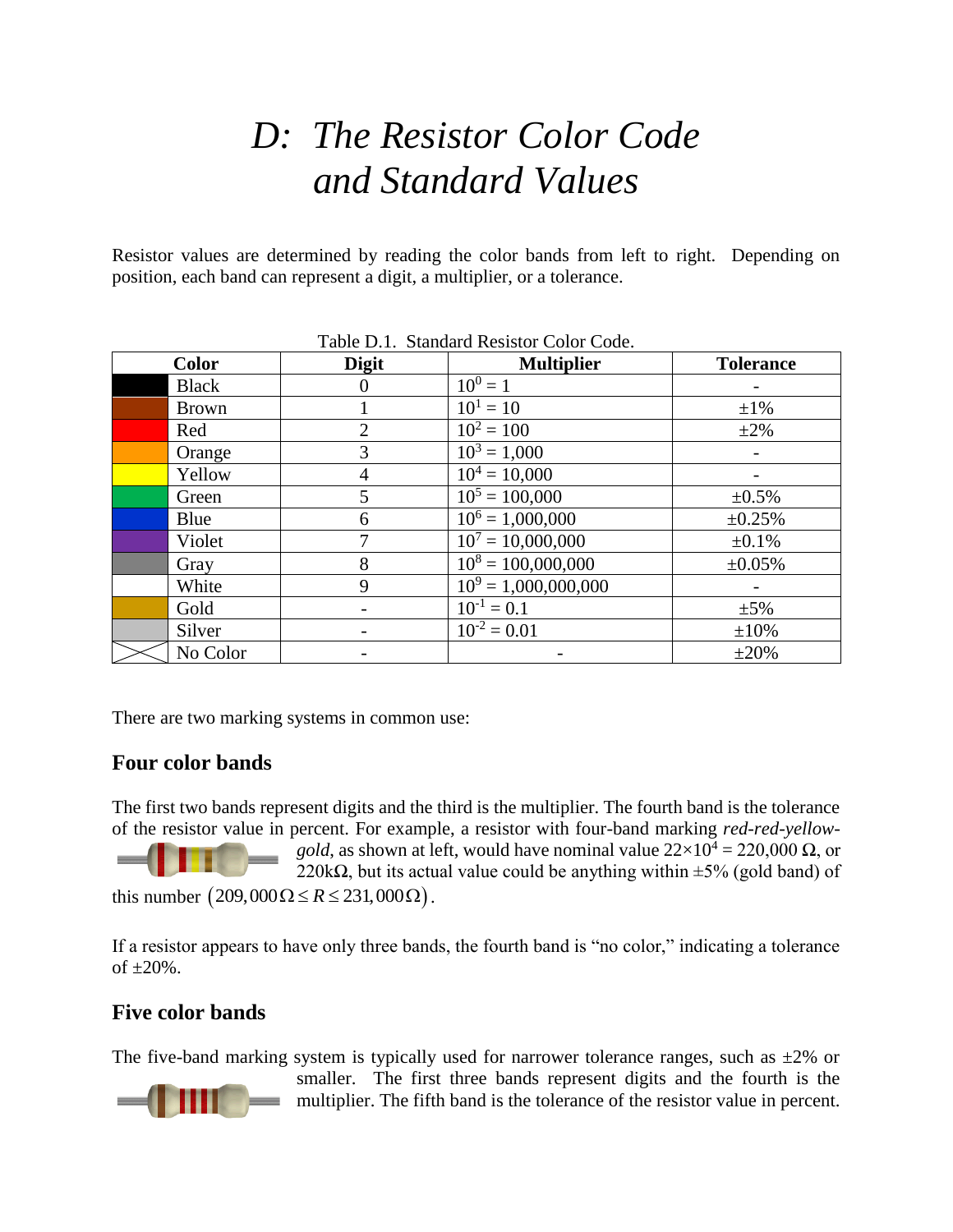## *D: The Resistor Color Code and Standard Values*

Resistor values are determined by reading the color bands from left to right. Depending on position, each band can represent a digit, a multiplier, or a tolerance.

| raoic D.n. Damaard Rommor Color Couc. |              |                        |                  |  |  |  |  |  |
|---------------------------------------|--------------|------------------------|------------------|--|--|--|--|--|
| <b>Color</b>                          | <b>Digit</b> | <b>Multiplier</b>      | <b>Tolerance</b> |  |  |  |  |  |
| <b>Black</b>                          |              | $10^{0} = 1$           |                  |  |  |  |  |  |
| <b>Brown</b>                          |              | $10^1 = 10$            | $\pm 1\%$        |  |  |  |  |  |
| Red                                   |              | $10^2 = 100$           | $\pm 2\%$        |  |  |  |  |  |
| Orange                                | 3            | $10^3 = 1,000$         |                  |  |  |  |  |  |
| Yellow                                |              | $10^4 = 10,000$        |                  |  |  |  |  |  |
| Green                                 | 5            | $10^5 = 100,000$       | $\pm 0.5\%$      |  |  |  |  |  |
| Blue                                  | 6            | $10^6 = 1,000,000$     | ±0.25%           |  |  |  |  |  |
| Violet                                |              | $10^7 = 10,000,000$    | $\pm 0.1\%$      |  |  |  |  |  |
| Gray                                  | 8            | $10^8 = 100,000,000$   | ±0.05%           |  |  |  |  |  |
| White                                 | 9            | $10^9 = 1,000,000,000$ |                  |  |  |  |  |  |
| Gold                                  |              | $10^{-1} = 0.1$        | $\pm 5\%$        |  |  |  |  |  |
| Silver                                |              | $10^{-2} = 0.01$       | $\pm 10\%$       |  |  |  |  |  |
| No Color                              |              |                        | $\pm 20\%$       |  |  |  |  |  |

Table D.1. Standard Resistor Color Code.

There are two marking systems in common use:

## **Four color bands**

The first two bands represent digits and the third is the multiplier. The fourth band is the tolerance of the resistor value in percent. For example, a resistor with four-band marking *red-red-yellowgold*, as shown at left, would have nominal value  $22 \times 10^4 = 220,000 \Omega$ , or 220k $\Omega$ , but its actual value could be anything within  $\pm 5\%$  (gold band) of this number  $(209,000\Omega \le R \le 231,000\Omega)$ .

If a resistor appears to have only three bands, the fourth band is "no color," indicating a tolerance of  $\pm 20\%$ .

## **Five color bands**

The five-band marking system is typically used for narrower tolerance ranges, such as  $\pm 2\%$  or



smaller. The first three bands represent digits and the fourth is the multiplier. The fifth band is the tolerance of the resistor value in percent.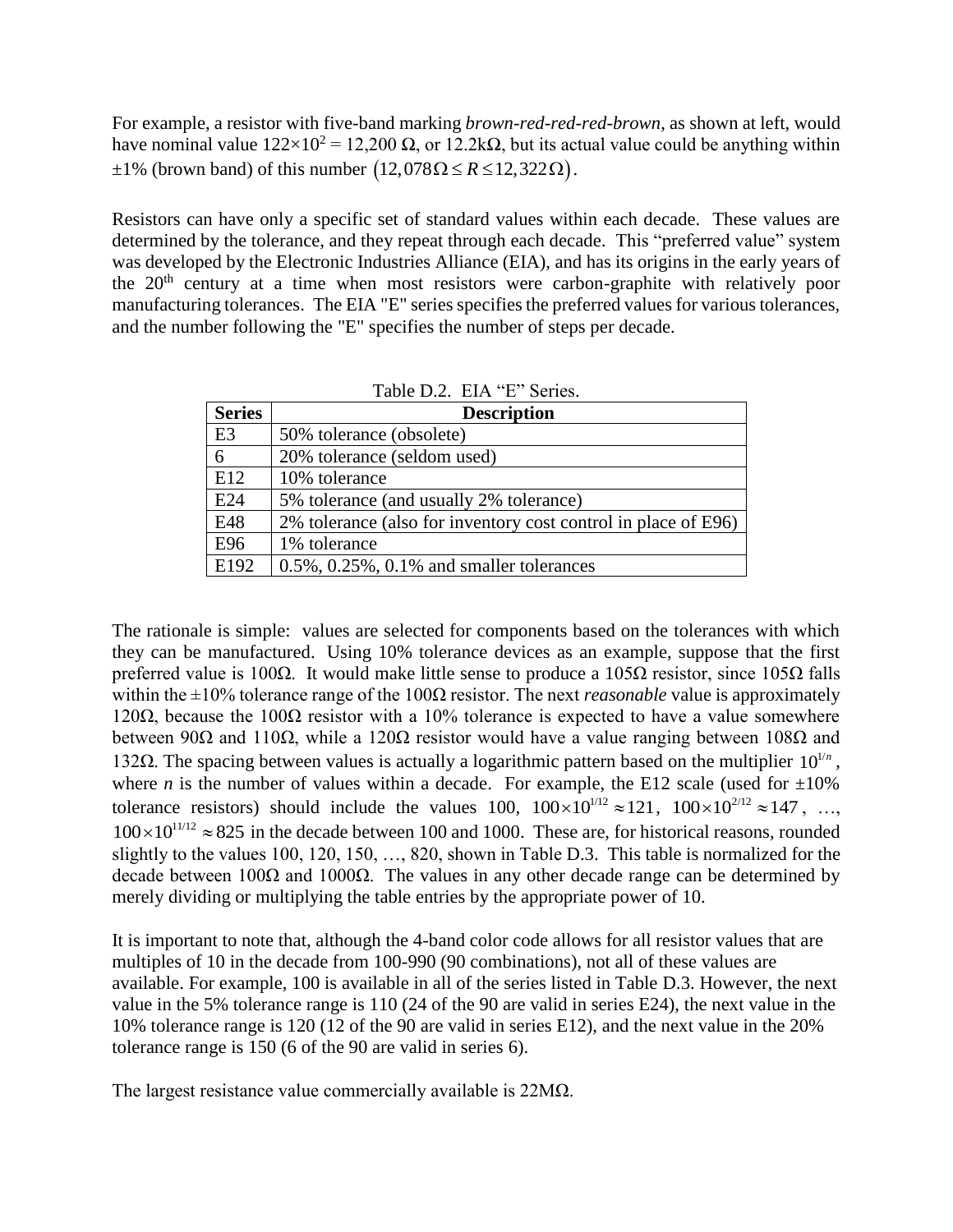For example, a resistor with five-band marking *brown-red-red-red-brown*, as shown at left, would have nominal value  $122\times10^2 = 12,200 \Omega$ , or  $12.2k\Omega$ , but its actual value could be anything within  $\pm 1\%$  (brown band) of this number  $(12,078\Omega \le R \le 12,322\Omega)$ .

Resistors can have only a specific set of standard values within each decade. These values are determined by the tolerance, and they repeat through each decade. This "preferred value" system was developed by the Electronic Industries Alliance (EIA), and has its origins in the early years of the 20<sup>th</sup> century at a time when most resistors were carbon-graphite with relatively poor manufacturing tolerances. The EIA "E" series specifies the preferred values for various tolerances, and the number following the "E" specifies the number of steps per decade.

| <b>Series</b>   | <b>Description</b>                                             |
|-----------------|----------------------------------------------------------------|
| E <sub>3</sub>  | 50% tolerance (obsolete)                                       |
| 6               | 20% tolerance (seldom used)                                    |
| E12             | 10% tolerance                                                  |
| E <sub>24</sub> | 5% tolerance (and usually 2% tolerance)                        |
| E48             | 2% tolerance (also for inventory cost control in place of E96) |
| E96             | 1% tolerance                                                   |
| E192            | $0.5\%$ , $0.25\%$ , $0.1\%$ and smaller tolerances            |

| Table D.2. EIA "E" Series. |  |  |
|----------------------------|--|--|
|                            |  |  |

The rationale is simple: values are selected for components based on the tolerances with which they can be manufactured. Using 10% tolerance devices as an example, suppose that the first preferred value is 100Ω. It would make little sense to produce a 105Ω resistor, since 105Ω falls within the ±10% tolerance range of the 100Ω resistor. The next *reasonable* value is approximately 120 $Ω$ , because the 100 $Ω$  resistor with a 10% tolerance is expected to have a value somewhere between 90Ω and 110Ω, while a 120Ω resistor would have a value ranging between 108Ω and 132Ω. The spacing between values is actually a logarithmic pattern based on the multiplier  $10^{1/n}$ , where *n* is the number of values within a decade. For example, the E12 scale (used for  $\pm 10\%$ tolerance resistors) should include the values 100,  $100 \times 10^{1/12} \approx 121$ ,  $100 \times 10^{2/12} \approx 147$ , ...,  $100 \times 10^{11/12} \approx 825$  in the decade between 100 and 1000. These are, for historical reasons, rounded slightly to the values 100, 120, 150, …, 820, shown in Table D.3. This table is normalized for the decade between 100Ω and 1000Ω. The values in any other decade range can be determined by merely dividing or multiplying the table entries by the appropriate power of 10.

It is important to note that, although the 4-band color code allows for all resistor values that are multiples of 10 in the decade from 100-990 (90 combinations), not all of these values are available. For example, 100 is available in all of the series listed in Table D.3. However, the next value in the 5% tolerance range is 110 (24 of the 90 are valid in series E24), the next value in the 10% tolerance range is 120 (12 of the 90 are valid in series E12), and the next value in the 20% tolerance range is 150 (6 of the 90 are valid in series 6).

The largest resistance value commercially available is 22MΩ.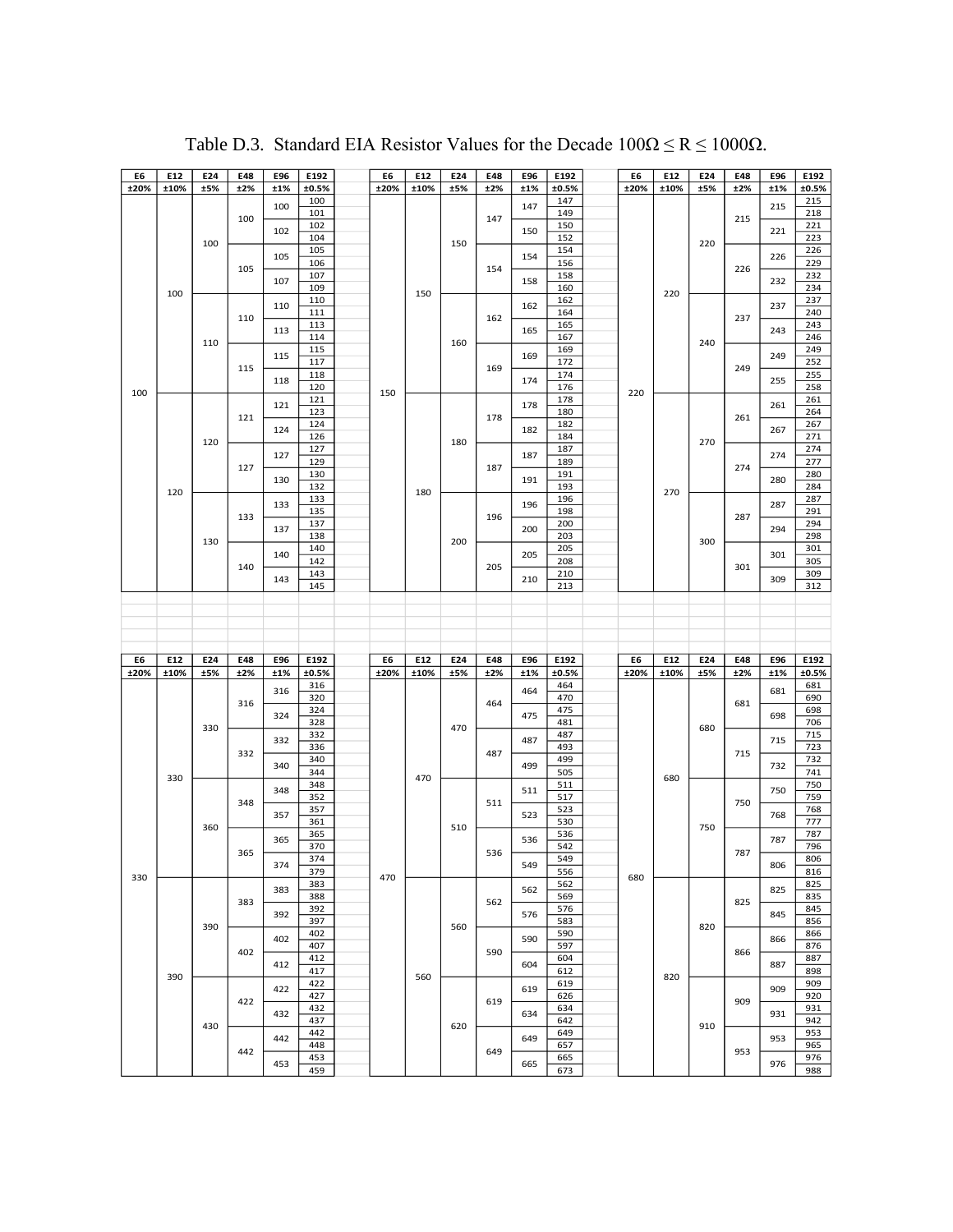| E6   | E12  | E24 | E48 | E96 | E192       | E6   | E12  | E24 | E48 | E96 | E192       | E6   | E12  | E24 | E48 | E96 | E192       |
|------|------|-----|-----|-----|------------|------|------|-----|-----|-----|------------|------|------|-----|-----|-----|------------|
| ±20% | ±10% | ±5% | ±2% | ±1% | ±0.5%      | ±20% | ±10% | ±5% | ±2% | ±1% | ±0.5%      | ±20% | ±10% | ±5% | ±2% | ±1% | ±0.5%      |
|      |      |     |     |     | 100        |      |      |     |     |     | 147        |      |      |     |     |     | 215        |
|      |      |     |     | 100 | 101        |      |      |     |     | 147 | 149        |      |      |     |     | 215 | 218        |
|      |      |     | 100 |     | 102        |      |      |     | 147 |     | 150        |      |      |     | 215 |     | 221        |
|      |      |     |     | 102 | 104        |      |      |     |     | 150 | 152        |      |      |     |     | 221 | 223        |
|      |      | 100 |     |     | 105        |      |      | 150 |     |     | 154        |      |      | 220 |     |     | 226        |
|      |      |     |     | 105 | 106        |      |      |     |     | 154 | 156        |      |      |     |     | 226 | 229        |
|      |      |     | 105 |     | 107        |      |      |     | 154 |     | 158        |      |      |     | 226 |     | 232        |
|      |      |     |     | 107 | 109        |      |      |     |     | 158 | 160        |      |      |     |     | 232 | 234        |
|      | 100  |     |     |     | 110        |      | 150  |     |     |     | 162        |      | 220  |     |     |     | 237        |
|      |      |     |     | 110 | 111        |      |      |     |     | 162 | 164        |      |      |     |     | 237 | 240        |
|      |      |     | 110 |     | 113        |      |      |     | 162 |     | 165        |      |      |     | 237 |     | 243        |
|      |      |     |     | 113 | 114        |      |      |     |     | 165 | 167        |      |      |     |     | 243 | 246        |
|      |      | 110 |     |     | 115        |      |      | 160 |     |     | 169        |      |      | 240 |     |     | 249        |
|      |      |     |     | 115 | 117        |      |      |     |     | 169 | 172        |      |      |     |     | 249 | 252        |
|      |      |     | 115 |     | 118        |      |      |     | 169 |     | 174        |      |      |     | 249 |     | 255        |
|      |      |     |     | 118 | 120        |      |      |     |     | 174 | 176        |      |      |     |     | 255 | 258        |
| 100  |      |     |     |     | 121        | 150  |      |     |     |     | 178        | 220  |      |     |     |     | 261        |
|      |      |     |     | 121 | 123        |      |      |     |     | 178 | 180        |      |      |     |     | 261 | 264        |
|      |      |     | 121 |     | 124        |      |      |     | 178 |     | 182        |      |      |     | 261 |     |            |
|      |      |     |     | 124 | 126        |      |      |     |     | 182 | 184        |      |      |     |     | 267 | 267<br>271 |
|      |      | 120 |     |     |            |      |      | 180 |     |     | 187        |      |      | 270 |     |     |            |
|      |      |     |     | 127 | 127<br>129 |      |      |     |     | 187 | 189        |      |      |     |     | 274 | 274<br>277 |
|      |      |     | 127 |     | 130        |      |      |     | 187 |     | 191        |      |      |     | 274 |     | 280        |
|      |      |     |     | 130 |            |      |      |     |     | 191 |            |      |      |     |     | 280 |            |
|      | 120  |     |     |     | 132        |      | 180  |     |     |     | 193        |      | 270  |     |     |     | 284        |
|      |      |     |     | 133 | 133        |      |      |     |     | 196 | 196        |      |      |     |     | 287 | 287<br>291 |
|      |      |     | 133 |     | 135        |      |      |     | 196 |     | 198        |      |      |     | 287 |     |            |
|      |      |     |     | 137 | 137        |      |      |     |     | 200 | 200        |      |      |     |     | 294 | 294        |
|      |      | 130 |     |     | 138        |      |      | 200 |     |     | 203        |      |      | 300 |     |     | 298        |
|      |      |     |     | 140 | 140        |      |      |     |     | 205 | 205        |      |      |     |     | 301 | 301        |
|      |      |     | 140 |     | 142        |      |      |     | 205 |     | 208        |      |      |     | 301 |     | 305        |
|      |      |     |     | 143 | 143        |      |      |     |     | 210 | 210        |      |      |     |     | 309 | 309        |
|      |      |     |     |     | 145        |      |      |     |     |     | 213        |      |      |     |     |     | 312        |
|      |      |     |     |     |            |      |      |     |     |     |            |      |      |     |     |     |            |
|      |      |     |     |     |            |      |      |     |     |     |            |      |      |     |     |     |            |
|      |      |     |     |     |            |      |      |     |     |     |            |      |      |     |     |     |            |
|      |      |     |     |     |            |      |      |     |     |     |            |      |      |     |     |     |            |
|      |      |     |     |     |            |      |      |     |     |     |            |      |      |     |     |     |            |
|      |      |     |     |     |            |      |      |     |     |     |            |      |      |     |     |     |            |
| E6   | E12  | E24 | E48 | E96 | E192       | E6   | E12  | E24 | E48 | E96 | E192       | E6   | E12  | E24 | E48 | E96 | E192       |
| ±20% | ±10% | ±5% | ±2% | ±1% | ±0.5%      | ±20% | ±10% | ±5% | ±2% | ±1% | ±0.5%      | ±20% | ±10% | ±5% | ±2% | ±1% | ±0.5%      |
|      |      |     |     | 316 | 316        |      |      |     |     | 464 | 464        |      |      |     |     | 681 | 681        |
|      |      |     | 316 |     | 320        |      |      |     | 464 |     | 470        |      |      |     | 681 |     | 690        |
|      |      |     |     | 324 | 324        |      |      |     |     | 475 | 475        |      |      |     |     | 698 | 698        |
|      |      | 330 |     |     | 328        |      |      | 470 |     |     | 481        |      |      | 680 |     |     | 706        |
|      |      |     |     | 332 | 332        |      |      |     |     | 487 | 487        |      |      |     |     | 715 | 715        |
|      |      |     | 332 |     | 336        |      |      |     | 487 |     | 493        |      |      |     | 715 |     | 723        |
|      |      |     |     | 340 | 340        |      |      |     |     | 499 | 499        |      |      |     |     | 732 | 732        |
|      | 330  |     |     |     | 344        |      | 470  |     |     |     | 505        |      | 680  |     |     |     | 741        |
|      |      |     |     | 348 | 348        |      |      |     |     | 511 | 511        |      |      |     |     | 750 | 750        |
|      |      |     | 348 |     | 352        |      |      |     | 511 |     | 517        |      |      |     | 750 |     | 759        |
|      |      |     |     | 357 | 357        |      |      |     |     | 523 | 523        |      |      |     |     | 768 | 768        |
|      |      | 360 |     |     | 361        |      |      | 510 |     |     | 530        |      |      | 750 |     |     | 777        |
|      |      |     |     | 365 | 365        |      |      |     |     | 536 | 536        |      |      |     |     | 787 | 787        |
|      |      |     | 365 |     | 370        |      |      |     | 536 |     | 542        |      |      |     | 787 |     | 796        |
|      |      |     |     | 374 | 374        |      |      |     |     | 549 | 549        |      |      |     |     | 806 | 806        |
| 330  |      |     |     |     | 379        | 470  |      |     |     |     | 556        | 680  |      |     |     |     | 816        |
|      |      |     |     | 383 | 383        |      |      |     |     | 562 | 562        |      |      |     |     | 825 | 825        |
|      |      |     | 383 |     | 388        |      |      |     | 562 |     | 569        |      |      |     | 825 |     | 835        |
|      |      |     |     | 392 | 392        |      |      |     |     | 576 | 576        |      |      |     |     | 845 | 845        |
|      |      | 390 |     |     | 397        |      |      | 560 |     |     | 583        |      |      | 820 |     |     | 856        |
|      |      |     |     | 402 | 402        |      |      |     |     | 590 | 590        |      |      |     |     | 866 | 866        |
|      |      |     | 402 |     | 407        |      |      |     | 590 |     | 597        |      |      |     | 866 |     | 876        |
|      |      |     |     | 412 | 412        |      |      |     |     | 604 | 604        |      |      |     |     | 887 | 887        |
|      | 390  |     |     |     | 417        |      | 560  |     |     |     | 612        |      | 820  |     |     |     | 898        |
|      |      |     |     | 422 | 422        |      |      |     |     | 619 | 619        |      |      |     |     | 909 | 909        |
|      |      |     | 422 |     | 427        |      |      |     | 619 |     | 626        |      |      |     | 909 |     | 920        |
|      |      |     |     | 432 | 432        |      |      |     |     | 634 | 634        |      |      |     |     | 931 | 931        |
|      |      | 430 |     |     | 437        |      |      | 620 |     |     | 642        |      |      | 910 |     |     | 942        |
|      |      |     |     | 442 | 442        |      |      |     |     | 649 | 649        |      |      |     |     | 953 | 953        |
|      |      |     | 442 |     | 448        |      |      |     | 649 |     | 657        |      |      |     | 953 |     | 965        |
|      |      |     |     | 453 | 453<br>459 |      |      |     |     | 665 | 665<br>673 |      |      |     |     | 976 | 976<br>988 |

Table D.3. Standard EIA Resistor Values for the Decade  $100\Omega \le R \le 1000\Omega$ .